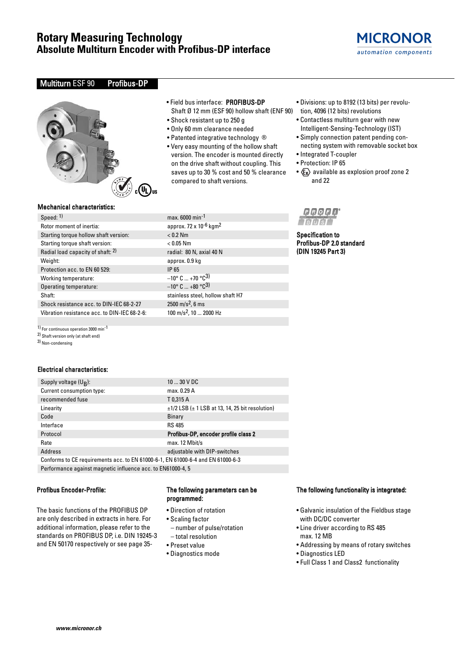# **Rotary Measuring Technology Absolute Multiturn Encoder with Profibus-DP interface**



### Multiturn ESF 90 Profibus-DP



### • Field bus interface: PROFIBUS-DP Shaft Ø 12 mm (ESF 90) hollow shaft (ENF 90) tion, 4096 (12 bits) revolutions

- Shock resistant up to 250 g
- Only 60 mm clearance needed
- Patented integrative technology ®
- Very easy mounting of the hollow shaft version. The encoder is mounted directly on the drive shaft without coupling. This saves up to 30 % cost and 50 % clearance compared to shaft versions.
- Divisions: up to 8192 (13 bits) per revolu-
- 
- Contactless multiturn gear with new Intelligent-Sensing-Technology (IST)
- Simply connection patent pending connecting system with removable socket box
- Integrated T-coupler
- Protection: IP 65

Specification to Profibus-DP 2.0 standard (DIN 19245 Part 3)

**PROFI** 

•  $\langle \xi_{\mathbf{x}} \rangle$  available as explosion proof zone 2 and 22

### Mechanical characteristics:

### Speed: <sup>1)</sup> max. 6000 min<sup>-1</sup> Rotor moment of inertia: approx. 72 x 10<sup>-6</sup> kgm<sup>2</sup> Starting torque hollow shaft version: < 0.2 Nm Starting torque shaft version: < 0.05 Nm Radial load capacity of shaft:  $2$ ) radial: 80 N, axial 40 N Weight: approx. 0.9 kg Protection acc. to EN 60 529: IP 65 Working temperature:  $-10^{\circ}$  C ... +70 °C<sup>3)</sup><br>Operating temperature:  $-10^{\circ}$  C ... +80 °C<sup>3)</sup> Operating temperature: Shaft: stainless steel, hollow shaft H7 Shock resistance acc. to DIN-IEC 68-2-27 2500 m/s<sup>2</sup>, 6 ms Vibration resistance acc. to DIN-IEC 68-2-6:  $100 \text{ m/s}^2$ , 10 ... 2000 Hz

1) For continuous operation 3000 min-1

2) Shaft version only (at shaft end)

3) Non-condensing

### Electrical characteristics:

| Supply voltage $(U_R)$ :                                                        | $1030$ V DC                                               |  |  |  |  |
|---------------------------------------------------------------------------------|-----------------------------------------------------------|--|--|--|--|
| Current consumption type:                                                       | max. 0.29 A                                               |  |  |  |  |
| recommended fuse                                                                | T0.315 A                                                  |  |  |  |  |
| Linearity                                                                       | $\pm$ 1/2 LSB ( $\pm$ 1 LSB at 13, 14, 25 bit resolution) |  |  |  |  |
| Code                                                                            | <b>Binary</b>                                             |  |  |  |  |
| Interface                                                                       | <b>RS 485</b>                                             |  |  |  |  |
| Protocol                                                                        | Profibus-DP, encoder profile class 2                      |  |  |  |  |
| Rate                                                                            | max. 12 Mbit/s                                            |  |  |  |  |
| Address                                                                         | adjustable with DIP-switches                              |  |  |  |  |
| Conforms to CE requirements acc. to EN 61000-6-1, EN 61000-6-4 and EN 61000-6-3 |                                                           |  |  |  |  |
|                                                                                 |                                                           |  |  |  |  |

Performance against magnetic influence acc. to EN61000-4, 5

### Profibus Encoder-Profile:

The basic functions of the PROFIBUS DP are only described in extracts in here. For additional information, please refer to the standards on PROFIBUS DP, i.e. DIN 19245-3 and EN 50170 respectively or see page 35-

### The following parameters can be programmed:

- Direction of rotation
- Scaling factor
- number of pulse/rotation – total resolution
- 
- Preset value
- Diagnostics mode

### The following functionality is integrated:

- Galvanic insulation of the Fieldbus stage with DC/DC converter
- Line driver according to RS 485 max. 12 MB
- Addressing by means of rotary switches
- Diagnostics LED
- Full Class 1 and Class2 functionality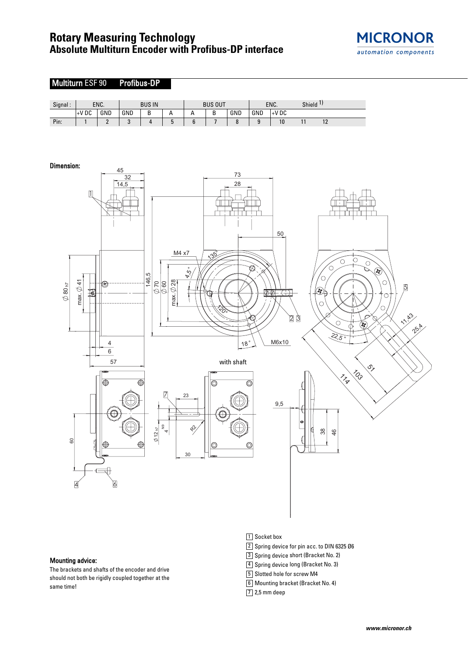# **Rotary Measuring Technology Absolute Multiturn Encoder with Profibus-DP interface**





### Mounting advice:

The brackets and shafts of the encoder and drive should not both be rigidly coupled together at the same time!

- 1 Socket box
- 2 Spring device for pin acc. to DIN 6325 Ø6
- 3 Spring device short (Bracket No. 2)
- 4 Spring device long (Bracket No. 3)
- 5 Slotted hole for screw M4
- Mounting bracket (Bracket No. 4) 6
- 7 2,5 mm deep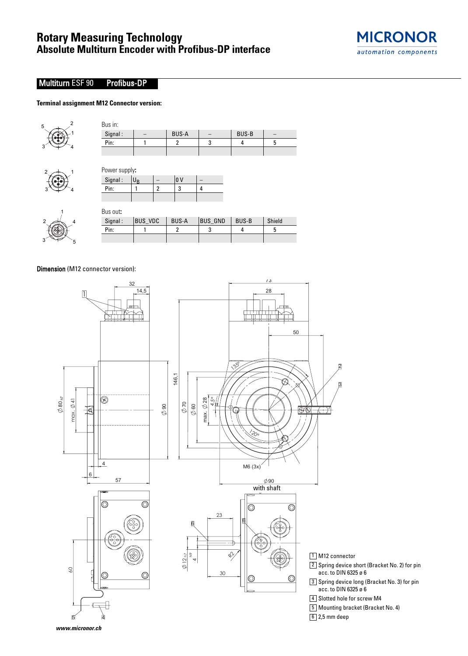

## Multiturn ESF 90 Profibus-DP

### **Terminal assignment M12 Connector version:**



 $2 \div 1$ 

 $3 \Leftrightarrow 3$ 

| Signal:                          |                |                | <b>BUS-A</b>   |                          | <b>BUS-B</b> |   |
|----------------------------------|----------------|----------------|----------------|--------------------------|--------------|---|
| Pin:                             |                |                | $\overline{2}$ | 3                        | 4            | 5 |
|                                  |                |                |                |                          |              |   |
|                                  |                |                |                |                          |              |   |
|                                  |                |                | lo v           | $\overline{\phantom{a}}$ |              |   |
| Power supply:<br>Signal:<br>Pin: | U <sub>R</sub> | $\overline{2}$ | 3              | 4                        |              |   |

| Signal:<br>Pin: | BUS VDC | <b>BUS-A</b> | <b>BUS GND</b> | <b>BUS-B</b> | Shield |
|-----------------|---------|--------------|----------------|--------------|--------|
|                 |         |              |                |              |        |

Dimension (M12 connector version):

4

5

1

3

2



- $2\rfloor$  Spring device short (Bracket No. 2) for pin acc. to DIN 6325 ø 6
- $3\rfloor$  Spring device long (Bracket No. 3) for pin acc. to DIN 6325 ø 6

4 Slotted hole for screw M4

Mounting bracket (Bracket No. 4) 5

 $6$  2,5 mm deep